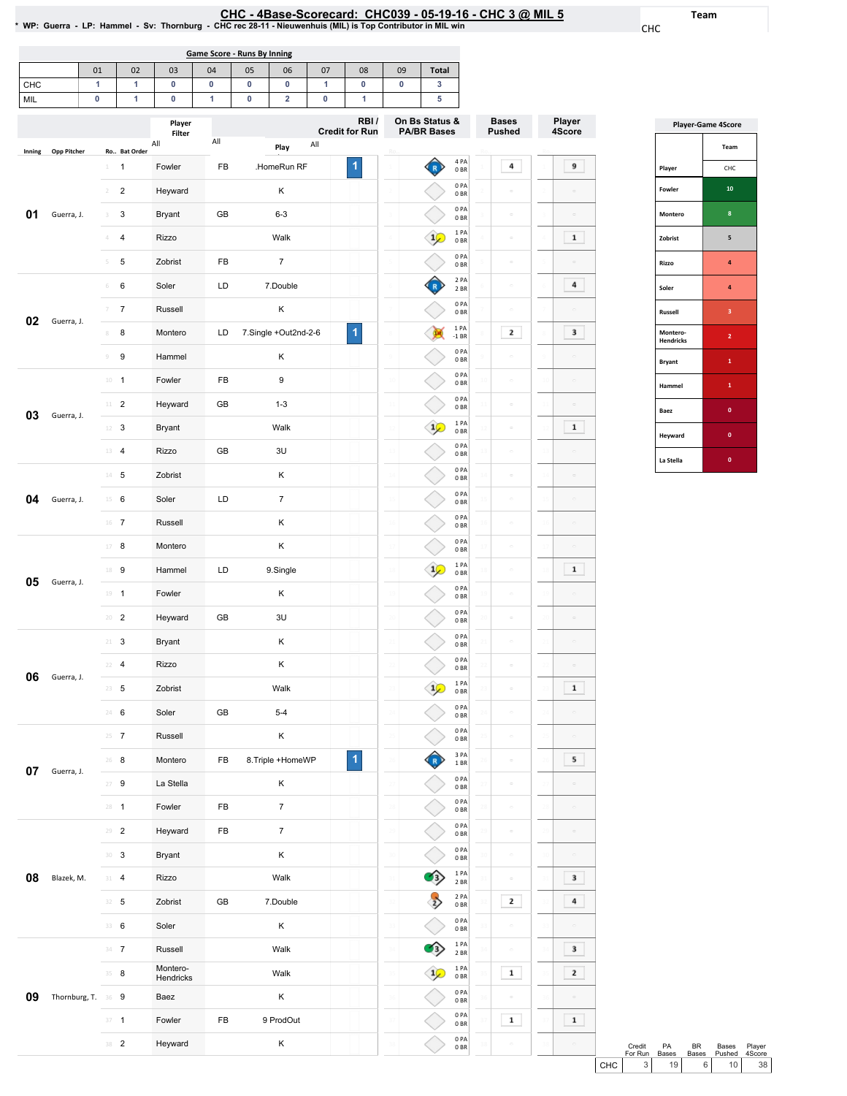CHC

Team

| <b>Game Score - Runs By Inning</b>                                 |  |  |  |  |  |  |  |  |  |  |  |  |
|--------------------------------------------------------------------|--|--|--|--|--|--|--|--|--|--|--|--|
| 05<br><b>Total</b><br>04<br>09<br>03<br>06<br>07<br>02<br>08<br>01 |  |  |  |  |  |  |  |  |  |  |  |  |
| CHC                                                                |  |  |  |  |  |  |  |  |  |  |  |  |
| MIL                                                                |  |  |  |  |  |  |  |  |  |  |  |  |

|        |                    |                |                         | Player<br>Filter      |     |                      | RBI/<br><b>Credit for Run</b> |               | On Bs Status &<br><b>PA/BR Bases</b> |                          |              | <b>Bases</b><br><b>Pushed</b> |    | Player<br>4Score |  |
|--------|--------------------|----------------|-------------------------|-----------------------|-----|----------------------|-------------------------------|---------------|--------------------------------------|--------------------------|--------------|-------------------------------|----|------------------|--|
| Inning | Opp Pitcher        |                | Ro Bat Order            | All                   | All | All<br>Play          |                               |               |                                      |                          |              |                               |    |                  |  |
|        |                    | 1              | 1                       | Fowler                | FB  | .HomeRun RF          | 1                             |               | R                                    | 4 PA<br>0BR              |              | 4                             |    | 9                |  |
|        |                    | $\overline{2}$ | $\overline{\mathbf{c}}$ | Heyward               |     | κ                    |                               |               |                                      | 0PA<br>0 <sub>BR</sub>   |              | $\Box$                        |    |                  |  |
| 01     | Guerra, J.         | 3              | 3                       | Bryant                | GB  | $6 - 3$              |                               |               |                                      | 0PA<br>0 <sub>BR</sub>   |              | $\Box$                        |    | $\Box$           |  |
|        |                    | 4              | 4                       | Rizzo                 |     | Walk                 |                               |               | $1\sqrt{ }$                          | 1 PA<br>0 <sub>BR</sub>  |              | $\hfill \square$              |    | $\mathbf 1$      |  |
|        |                    | 5              | 5                       | Zobrist               | FB  | $\boldsymbol{7}$     |                               |               |                                      | 0PA<br>0BR               |              | $\equiv$                      |    |                  |  |
|        |                    | $\,$ $\,$ $\,$ | 6                       | Soler                 | LD  | 7.Double             |                               |               |                                      | 2 PA<br>2 BR             |              | $\hfill \square$              |    | 4                |  |
|        |                    | $\overline{7}$ | $\boldsymbol{7}$        | Russell               |     | Κ                    |                               |               |                                      | 0PA<br>0 <sub>BR</sub>   |              | $\equiv$                      |    |                  |  |
| 02     | Guerra, J.         | 8              | 8                       | Montero               | LD  | 7.Single +Out2nd-2-6 | 1                             |               |                                      | 1 PA<br>$-1$ BR          |              | 2                             |    | 3                |  |
|        |                    | $\mathcal G$   | 9                       | Hammel                |     | κ                    |                               |               |                                      | 0PA<br>0BR               |              | $\circ$                       |    |                  |  |
|        |                    |                | $10 - 1$                | Fowler                | FB  | 9                    |                               |               |                                      | 0PA<br>0 <sub>BR</sub>   | $\mathbf{1}$ | $\Box$                        |    | $\equiv$         |  |
|        |                    | $11\,$         | $\overline{2}$          | Heyward               | GB  | $1 - 3$              |                               |               |                                      | 0PA<br>0 <sub>BR</sub>   |              | $\equiv$                      |    |                  |  |
| 03     | Guerra, J.         | 12             | 3                       | <b>Bryant</b>         |     | Walk                 |                               |               | $\frac{1}{2}$                        | 1PA<br>0BR               |              | $\equiv$                      |    | $\mathbf 1$      |  |
|        |                    |                | 13 4                    | <b>Rizzo</b>          | GB  | 3U                   |                               |               |                                      | 0PA<br>0 <sub>BR</sub>   |              | $\hfill \square$              |    | $\equiv$         |  |
|        |                    |                | $14$ 5                  | Zobrist               |     | κ                    |                               |               |                                      | 0PA<br>0 <sub>BR</sub>   |              | $\equiv$                      |    |                  |  |
| 04     | Guerra, J.         | $15 \t 6$      |                         | Soler                 | LD  | $\boldsymbol{7}$     |                               |               |                                      | 0PA<br>0 <sub>BR</sub>   |              | $\equiv$                      |    |                  |  |
|        |                    |                | $16$ 7                  | Russell               |     | κ                    |                               |               |                                      | 0PA<br>0 <sub>BR</sub>   |              | $\Box$                        |    |                  |  |
|        |                    | 17             | 8                       | Montero               |     | κ                    |                               |               |                                      | 0PA<br>0 <sub>BR</sub>   |              | $\circ$                       |    |                  |  |
|        |                    |                | 18 9                    | Hammel                | LD  | 9.Single             |                               |               | $1\sqrt{ }$                          | 1 PA<br>0 <sub>BR</sub>  |              | $\hfill \square$              |    | $\mathbf 1$      |  |
| 05     | Guerra, J.         | $19 - 1$       |                         | Fowler                |     | κ                    |                               |               |                                      | 0PA<br>0 <sub>BR</sub>   |              | $\equiv$                      |    | $\overline{a}$   |  |
|        |                    |                | $20 - 2$                | Heyward               | GB  | 3U                   |                               | $\mathcal{D}$ |                                      | 0PA<br>0 <sub>BR</sub>   |              | $\hfill \square$              |    | $\Box$           |  |
|        |                    | $21 -$         | 3                       | Bryant                |     | Κ                    |                               |               |                                      | 0PA<br>0 <sub>BR</sub>   |              | $\equiv$                      |    | $\Box$           |  |
|        |                    | 22             | $\overline{4}$          | Rizzo                 |     | Κ                    |                               |               |                                      | 0PA<br>0BR               |              | $\alpha$                      |    | $\sim$           |  |
| 06     | Guerra, J.         | $23 \t 5$      |                         | Zobrist               |     | Walk                 |                               |               | 1                                    | 1 PA<br>0BR              |              | $\circ$                       |    | $\mathbf 1$      |  |
|        |                    |                | 24 6                    | Soler                 | GB  | $5 - 4$              |                               |               |                                      | 0PA<br>0 <sub>BR</sub>   |              | $\alpha$                      |    | $\equiv$         |  |
|        |                    |                | $25 \t 7$               | Russell               |     | Κ                    |                               |               |                                      | 0PA<br>0B                |              | $\Box$                        |    |                  |  |
|        |                    | $26 - 8$       |                         | Montero               | FB  | 8.Triple +HomeWP     | $\overline{1}$                |               |                                      | 3 PA<br>$1\,\mathrm{BR}$ |              | $\equiv$                      |    | 5                |  |
| 07     | Guerra, J.         |                | $27 - 9$                | La Stella             |     | Κ                    |                               |               |                                      | 0PA<br>$0\;\mathrm{BR}$  | 21           | $\hfill \square$              |    | $\Box$           |  |
|        |                    |                | $28 - 1$                | Fowler                | FB  | $\boldsymbol{7}$     |                               |               |                                      | 0PA<br>0B                |              | $\hfill \square$              |    |                  |  |
|        |                    |                | $29 - 2$                | Heyward               | FB  | $\overline{7}$       |                               |               |                                      | 0PA<br>0BR               |              | $\equiv$                      |    | $\equiv$         |  |
|        |                    | $30-3$         |                         | Bryant                |     | Κ                    |                               |               |                                      | 0PA<br>0B                |              | $\hfill \square$              |    |                  |  |
| 08     | Blazek, M.         | $31 - 4$       |                         | Rizzo                 |     | Walk                 |                               |               | Э                                    | $1$ PA<br>2 BR           | 31           | $\hfill \square$              |    | 3                |  |
|        |                    |                | $32 - 5$                | Zobrist               | GB  | 7.Double             |                               |               |                                      | 2 PA<br>0B               |              | 2                             |    | 4                |  |
|        |                    |                | 33 6                    | Soler                 |     | Κ                    |                               |               |                                      | 0PA<br>0B                |              | $\equiv$                      |    |                  |  |
|        |                    |                | $34 - 7$                | Russell               |     | Walk                 |                               | 34            | $\hat{B}$                            | 1PA<br>2 BR              | 34           | $\circ$                       | 34 | 3                |  |
|        |                    |                | $35 - 8$                | Montero-<br>Hendricks |     | Walk                 |                               |               | $\frac{1}{2}$                        | 1 PA<br>0 <sub>BR</sub>  | 35           | $\mathbf 1$                   |    | 2                |  |
| 09     | Thornburg, T. 36 9 |                |                         | Baez                  |     | Κ                    |                               |               |                                      | 0PA<br>0BR               |              | $\bar{\phantom{a}}$           |    | $\Box$           |  |
|        |                    |                | $37 - 1$                | Fowler                | FB  | 9 ProdOut            |                               |               |                                      | 0PA<br>0B                |              | $\mathbf 1$                   |    | $\mathbf 1$      |  |
|        |                    |                | 38 2                    | Heyward               |     | Κ                    |                               |               |                                      | 0PA<br>0B                |              | $\circ$                       |    | $\hfill \square$ |  |
|        |                    |                |                         |                       |     |                      |                               |               |                                      |                          |              |                               |    |                  |  |

| <b>Player-Game 4Score</b>    |                |  |  |  |  |  |  |
|------------------------------|----------------|--|--|--|--|--|--|
|                              | Team           |  |  |  |  |  |  |
| Player                       | CHC            |  |  |  |  |  |  |
| Fowler                       | 10             |  |  |  |  |  |  |
| Montero                      | 8              |  |  |  |  |  |  |
| Zobrist                      | 5              |  |  |  |  |  |  |
| Rizzo                        | 4              |  |  |  |  |  |  |
| Soler                        | 4              |  |  |  |  |  |  |
| Russell                      | 3              |  |  |  |  |  |  |
| Montero-<br><b>Hendricks</b> | $\overline{a}$ |  |  |  |  |  |  |
| <b>Bryant</b>                | 1              |  |  |  |  |  |  |
| Hammel                       | 1              |  |  |  |  |  |  |
| Baez                         | $\mathbf{0}$   |  |  |  |  |  |  |
| Heyward                      | $\mathbf{0}$   |  |  |  |  |  |  |
| La Stella                    | $\mathbf{0}$   |  |  |  |  |  |  |

|       | Credit<br>For Run | <b>PA</b><br><b>Bases</b> | RR  | Bases<br>Bases Pushed 4Score | Plaver          |  |
|-------|-------------------|---------------------------|-----|------------------------------|-----------------|--|
| CHC I | $\overline{3}$    | 19 <sup>1</sup>           | 6 I | 10 <sup>1</sup>              | 38 <sup>1</sup> |  |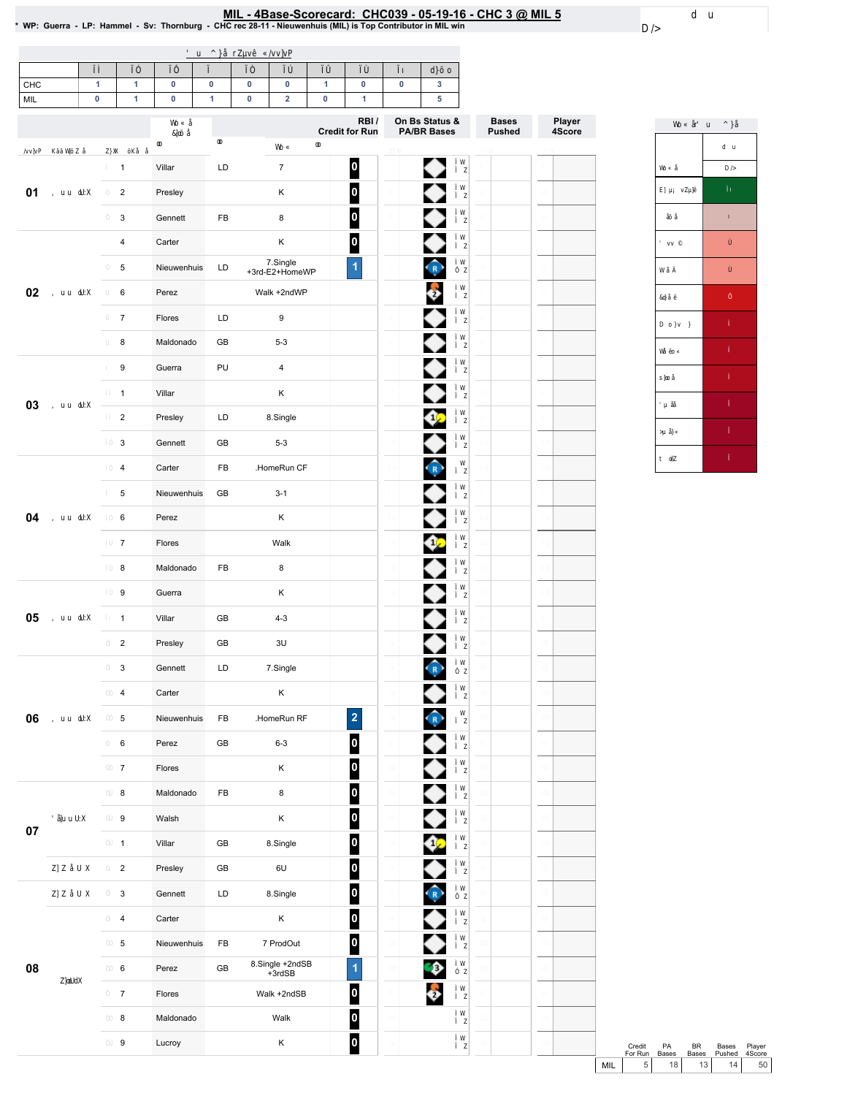MIL - 4Base-Scorecard: CHC039 - 05-19-16 - CHC 3 @ MIL 5 ـ WP: Guerra<br>WP: Guerra - LP: Hammel - Sv: Thornburg - CHC rec 28-11 - Nieuwenhuis (MIL) is Top Contributor in MIL win \*

| $\mathbf{1}$<br>CHC<br>$\pmb{0}$<br>MIL | $\mathbf{1}$<br>$\mathbf{1}$ | $\pmb{0}$<br>$\pmb{0}$ | $\pmb{0}$<br>$\overline{1}$ | 0<br>$\pmb{0}$ | $\pmb{0}$<br>$\overline{\mathbf{2}}$ | 1<br>$\pmb{0}$ | 0<br>$\mathbf{1}$       | $\pmb{0}$ | $\overline{\mathbf{3}}$<br>5 |               |        |
|-----------------------------------------|------------------------------|------------------------|-----------------------------|----------------|--------------------------------------|----------------|-------------------------|-----------|------------------------------|---------------|--------|
|                                         |                              |                        |                             |                |                                      |                | RBI/                    |           | On Bs Status &               | <b>Bases</b>  | Player |
|                                         |                              |                        |                             |                |                                      |                | <b>Credit for Run</b>   |           | <b>PA/BR Bases</b>           | <b>Pushed</b> | 4Score |
|                                         | $\mathbf{1}$                 | Villar                 | LD                          |                | $\overline{7}$                       |                | 0                       |           | ◆                            |               |        |
| 01                                      | $\mathbf 2$                  | Presley                |                             |                | Κ                                    |                | $\overline{\mathbf{0}}$ |           | ♦                            |               |        |
|                                         | 3                            | Gennett                | FB                          |                | 8                                    |                | $\overline{\mathbf{0}}$ |           |                              |               |        |
|                                         | $\overline{\mathbf{4}}$      | Carter                 |                             |                | Κ                                    |                | $\overline{\mathbf{0}}$ |           |                              |               |        |
|                                         | 5                            | Nieuwenhuis            | LD                          |                | 7.Single<br>+3rd-E2+HomeWP           |                | $\overline{\mathbf{1}}$ |           | $\bigodot$                   |               |        |
| 02                                      | 6                            | Perez                  |                             |                | Walk +2ndWP                          |                |                         |           | $\frac{1}{2}$                |               |        |
|                                         | $\overline{7}$               | Flores                 | LD                          |                | 9                                    |                |                         |           |                              |               |        |
|                                         | 8                            | Maldonado              | GB                          |                | $5 - 3$                              |                |                         |           |                              |               |        |
|                                         | 9                            | Guerra                 | PU                          |                | $\overline{4}$                       |                |                         |           |                              |               |        |
|                                         | $\mathbf{1}$                 | Villar                 |                             |                | Κ                                    |                |                         |           |                              |               |        |
| 03                                      | $\overline{2}$               | Presley                | LD                          |                | 8.Single                             |                |                         |           | œ                            |               |        |
|                                         | 3                            | Gennett                | GB                          |                | $5 - 3$                              |                |                         |           |                              |               |        |
|                                         | $\overline{4}$               | Carter                 | FB                          |                | .HomeRun CF                          |                |                         |           | $\bigodot$                   |               |        |
|                                         | 5                            | Nieuwenhuis            | GB                          |                | $3 - 1$                              |                |                         |           | ◆                            |               |        |
| 04                                      | 6                            | Perez                  |                             |                | Κ                                    |                |                         |           | ●                            |               |        |
|                                         | $\overline{7}$               | Flores                 |                             |                | Walk                                 |                |                         |           | ◆                            |               |        |
|                                         | 8                            | Maldonado              | FB                          |                | 8                                    |                |                         |           | ◆                            |               |        |
|                                         | 9                            | Guerra                 |                             |                | Κ                                    |                |                         |           | ◆                            |               |        |
| 05                                      | $\mathbf{1}$                 | Villar                 | GB                          |                | $4 - 3$                              |                |                         |           | ◆                            |               |        |
|                                         | $\overline{2}$               | Presley                | GB                          |                | 3U                                   |                |                         |           |                              |               |        |
|                                         | 3                            | Gennett                | LD                          |                | 7.Single                             |                |                         |           | $\hat{R}$                    |               |        |
|                                         | 4                            | Carter                 |                             |                | $\sf K$                              |                |                         |           | ♦                            |               |        |
| 06                                      | 5                            | Nieuwenhuis            | FB                          |                | .HomeRun RF                          |                | $\overline{a}$          |           | $\hat{R}$                    |               |        |
|                                         | 6                            | Perez                  | GB                          |                | $6 - 3$                              |                | $\overline{\mathbf{0}}$ |           |                              |               |        |
|                                         | $\overline{7}$               | Flores                 |                             |                | $\sf K$                              |                | $\boldsymbol{0}$        |           | ♦                            |               |        |
|                                         | 8                            | Maldonado              | FB                          |                | $\bf 8$                              |                | $\overline{\mathbf{0}}$ |           | ◆                            |               |        |
|                                         | 9                            | Walsh                  |                             |                | $\sf K$                              |                | $\boldsymbol{0}$        |           |                              |               |        |
| $07\,$                                  | $\mathbf{1}$                 | Villar                 | GB                          |                | 8.Single                             |                | 0                       |           | չ                            |               |        |
|                                         | $\overline{2}$               | Presley                | GB                          |                | $6\cup$                              |                | $\overline{\mathbf{0}}$ |           |                              |               |        |
|                                         | 3                            | Gennett                | LD                          |                | 8.Single                             |                | $\overline{\mathbf{0}}$ |           | $\bigodot$                   |               |        |
|                                         | $\overline{\mathbf{4}}$      | Carter                 |                             |                | $\sf K$                              |                | $\overline{\mathbf{0}}$ |           |                              |               |        |
|                                         | 5                            | Nieuwenhuis            | FB                          |                | 7 ProdOut                            |                | $\overline{\mathbf{0}}$ |           |                              |               |        |
| 08                                      | $\,6\,$                      | Perez                  | GB                          |                | 8.Single +2ndSB<br>+3rdSB            |                | $\overline{\mathbf{1}}$ |           | Q)                           |               |        |
|                                         | $\overline{7}$               | Flores                 |                             |                | Walk +2ndSB                          |                | 0                       |           | $\ddot{\bullet}$             |               |        |
|                                         | $\bf8$                       | Maldonado              |                             |                | Walk                                 |                | $\bullet$               |           |                              |               |        |
|                                         | $\boldsymbol{9}$             | Lucroy                 |                             |                | Κ                                    |                | $\overline{\mathbf{0}}$ |           |                              |               |        |
|                                         |                              |                        |                             |                |                                      |                |                         |           |                              |               |        |



Credit PA BR Bases Player<br>ForRun Bases Bases Pushed 4Score<br>MIL 5 18 13 14 50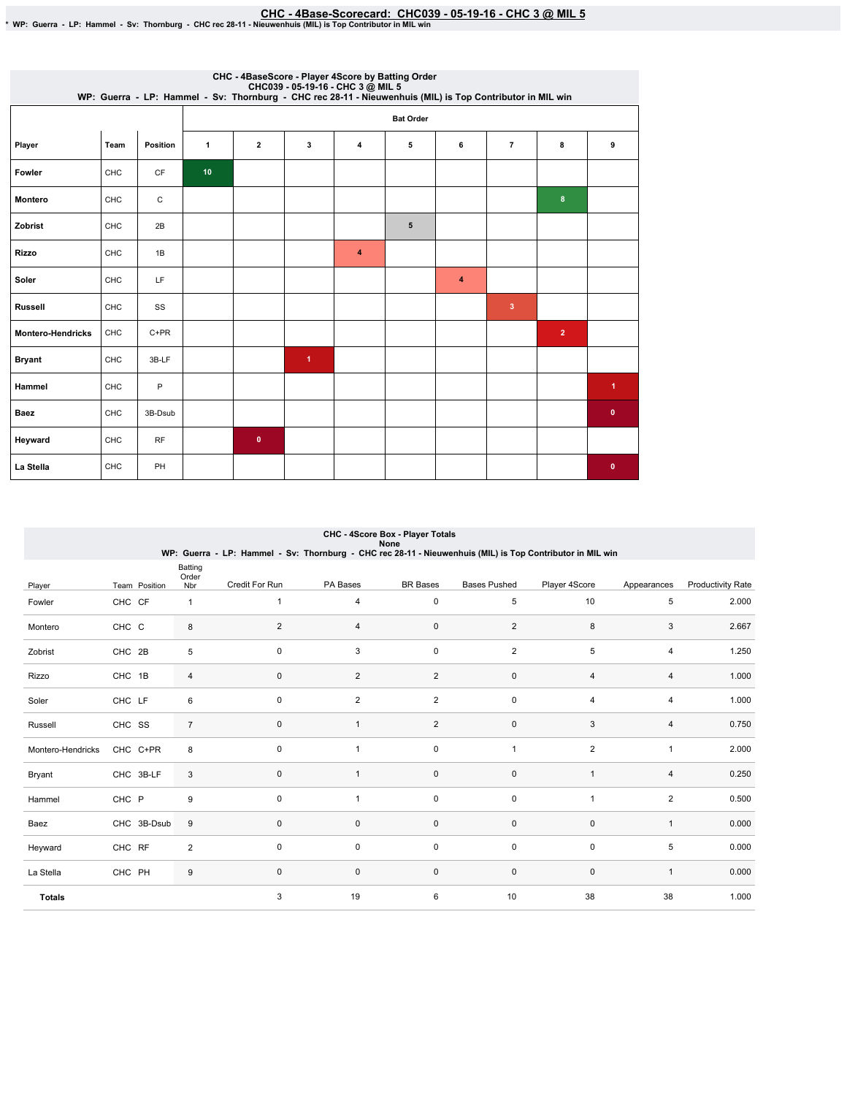EHC-4Base-Scorecard: CHC039 - 05-19-16 - CHC 3 @ MIL 5 ـ CWP: Guerra<br>\*WP: Guerra - LP: Hammel - Sv: Thornburg - CHC rec 28-11 - Nieuwenhuis (MIL) is Top Contributor in MIL win

|                          | CHC - 4BaseScore - Player 4Score by Batting Order<br>CHC039 - 05-19-16 - CHC 3 @ MIL 5<br>WP: Guerra - LP: Hammel - Sv: Thornburg - CHC rec 28-11 - Nieuwenhuis (MIL) is Top Contributor in MIL win |           |                  |                |                      |   |   |   |                         |                |           |  |  |  |
|--------------------------|-----------------------------------------------------------------------------------------------------------------------------------------------------------------------------------------------------|-----------|------------------|----------------|----------------------|---|---|---|-------------------------|----------------|-----------|--|--|--|
|                          |                                                                                                                                                                                                     |           | <b>Bat Order</b> |                |                      |   |   |   |                         |                |           |  |  |  |
| Player                   | Team                                                                                                                                                                                                | Position  | 1                | $\overline{2}$ | 3                    | 4 | 5 | 6 | $\overline{7}$          | 8              | 9         |  |  |  |
| Fowler                   | <b>CHC</b>                                                                                                                                                                                          | <b>CF</b> | 10               |                |                      |   |   |   |                         |                |           |  |  |  |
| Montero                  | CHC                                                                                                                                                                                                 | C         |                  |                |                      |   |   |   |                         | 8              |           |  |  |  |
| Zobrist                  | CHC                                                                                                                                                                                                 | 2B        |                  |                |                      |   | 5 |   |                         |                |           |  |  |  |
| <b>Rizzo</b>             | CHC                                                                                                                                                                                                 | 1B        |                  |                |                      | 4 |   |   |                         |                |           |  |  |  |
| Soler                    | CHC                                                                                                                                                                                                 | LF.       |                  |                |                      |   |   | 4 |                         |                |           |  |  |  |
| <b>Russell</b>           | CHC                                                                                                                                                                                                 | SS        |                  |                |                      |   |   |   | $\overline{\mathbf{3}}$ |                |           |  |  |  |
| <b>Montero-Hendricks</b> | CHC                                                                                                                                                                                                 | $C+PR$    |                  |                |                      |   |   |   |                         | $\overline{2}$ |           |  |  |  |
| <b>Bryant</b>            | <b>CHC</b>                                                                                                                                                                                          | 3B-LF     |                  |                | $\blacktriangleleft$ |   |   |   |                         |                |           |  |  |  |
| Hammel                   | CHC                                                                                                                                                                                                 | P         |                  |                |                      |   |   |   |                         |                | 1.        |  |  |  |
| Baez                     | <b>CHC</b>                                                                                                                                                                                          | 3B-Dsub   |                  |                |                      |   |   |   |                         |                | $\bullet$ |  |  |  |
| Heyward                  | CHC                                                                                                                                                                                                 | <b>RF</b> |                  | $\bullet$      |                      |   |   |   |                         |                |           |  |  |  |
| La Stella                | CHC                                                                                                                                                                                                 | PH        |                  |                |                      |   |   |   |                         |                | $\bullet$ |  |  |  |

| CHC - 4Score Box - Player Totals<br>None<br>WP: Guerra - LP: Hammel - Sv: Thornburg - CHC rec 28-11 - Nieuwenhuis (MIL) is Top Contributor in MIL win |               |                         |                |                         |                 |                     |                |                |                          |  |  |
|-------------------------------------------------------------------------------------------------------------------------------------------------------|---------------|-------------------------|----------------|-------------------------|-----------------|---------------------|----------------|----------------|--------------------------|--|--|
|                                                                                                                                                       | Team Position | <b>Batting</b><br>Order | Credit For Run | PA Bases                | <b>BR</b> Bases | <b>Bases Pushed</b> | Player 4Score  | Appearances    | <b>Productivity Rate</b> |  |  |
| Player                                                                                                                                                |               | Nbr                     |                |                         |                 |                     |                |                |                          |  |  |
| Fowler                                                                                                                                                | CHC CF        | $\mathbf{1}$            | 1              | 4                       | $\pmb{0}$       | $\,$ 5 $\,$         | 10             | $\sqrt{5}$     | 2.000                    |  |  |
| Montero                                                                                                                                               | CHC C         | 8                       | $\overline{2}$ | 4                       | $\mathbf 0$     | $\overline{2}$      | 8              | 3              | 2.667                    |  |  |
| Zobrist                                                                                                                                               | CHC 2B        | 5                       | 0              | 3                       | $\pmb{0}$       | $\overline{2}$      | 5              | 4              | 1.250                    |  |  |
| Rizzo                                                                                                                                                 | CHC 1B        | 4                       | 0              | $\overline{\mathbf{c}}$ | $\overline{2}$  | $\mathbf 0$         | 4              | $\overline{4}$ | 1.000                    |  |  |
| Soler                                                                                                                                                 | CHC LF        | 6                       | 0              | $\overline{2}$          | 2               | $\pmb{0}$           | 4              | $\overline{4}$ | 1.000                    |  |  |
| Russell                                                                                                                                               | CHC SS        | $\overline{7}$          | 0              | $\overline{1}$          | 2               | $\mathbf 0$         | 3              | 4              | 0.750                    |  |  |
| Montero-Hendricks                                                                                                                                     | CHC C+PR      | 8                       | 0              | 1                       | $\pmb{0}$       | $\mathbf{1}$        | $\overline{2}$ | $\mathbf{1}$   | 2.000                    |  |  |
| Bryant                                                                                                                                                | CHC 3B-LF     | 3                       | 0              | 1                       | $\mathbf 0$     | $\mathbf 0$         | $\mathbf{1}$   | 4              | 0.250                    |  |  |
| Hammel                                                                                                                                                | CHC P         | 9                       | 0              | $\mathbf{1}$            | 0               | $\mathbf 0$         | $\mathbf{1}$   | $\overline{2}$ | 0.500                    |  |  |
| Baez                                                                                                                                                  | CHC 3B-Dsub   | 9                       | 0              | 0                       | $\mathbf 0$     | $\mathbf 0$         | 0              | $\mathbf{1}$   | 0.000                    |  |  |
| Heyward                                                                                                                                               | CHC RF        | $\overline{c}$          | 0              | 0                       | $\mathbf 0$     | $\mathbf 0$         | $\pmb{0}$      | 5              | 0.000                    |  |  |
| La Stella                                                                                                                                             | CHC PH        | 9                       | 0              | 0                       | $\pmb{0}$       | $\mathbf 0$         | $\pmb{0}$      | $\mathbf{1}$   | 0.000                    |  |  |
| <b>Totals</b>                                                                                                                                         |               |                         | 3              | 19                      | 6               | 10                  | 38             | 38             | 1.000                    |  |  |

# CHC-4ScoreBox-PlayerTotals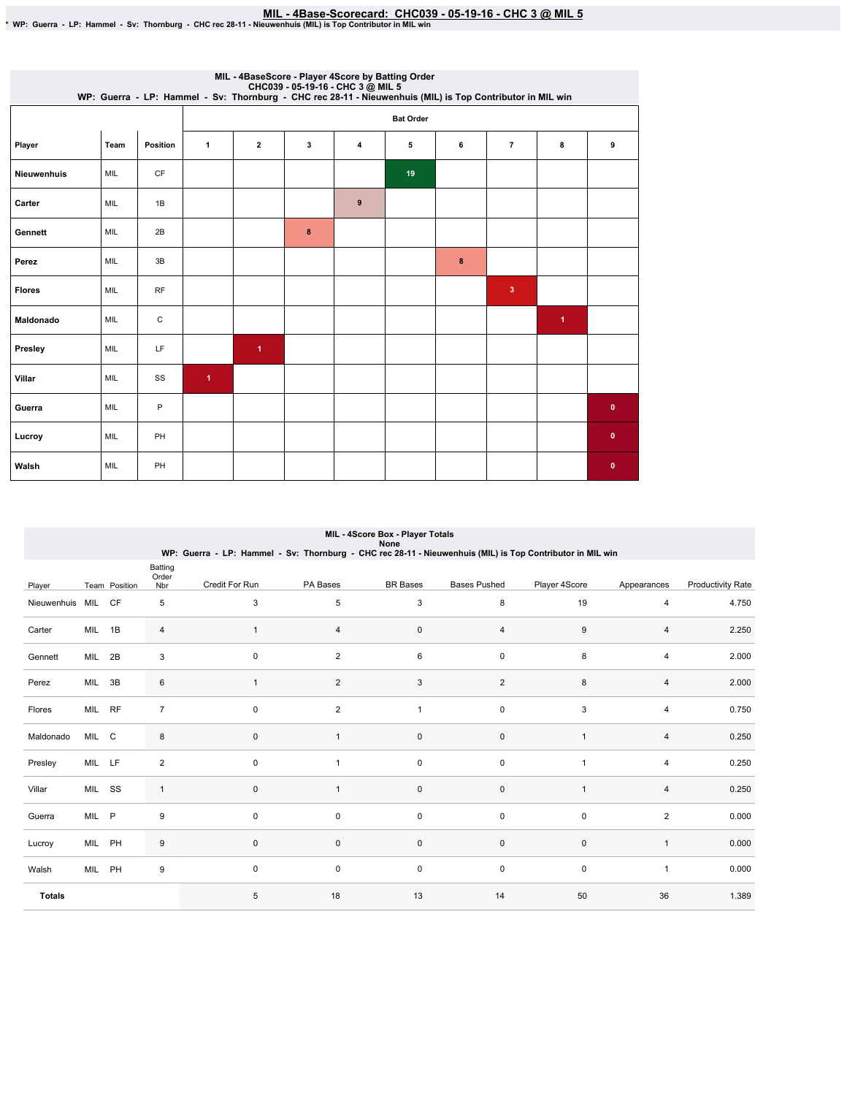MIL - 4Base-Scorecard: CHC039 - 05-19-16 - CHC 3 @ MIL 5 \*<br>\* WP: Guerra - LP: Hammel - Sv: Thornburg - CHC rec 28-11 - Nieuwenhuis (MIL) is Top Contributor in MIL win \*

|                    | MIL - 4BaseScore - Player 4Score by Batting Order<br>CHC039 - 05-19-16 - CHC 3 @ MIL 5<br>WP: Guerra - LP: Hammel - Sv: Thornburg - CHC rec 28-11 - Nieuwenhuis (MIL) is Top Contributor in MIL win |             |                      |                      |   |                  |    |   |                |                      |           |  |  |  |
|--------------------|-----------------------------------------------------------------------------------------------------------------------------------------------------------------------------------------------------|-------------|----------------------|----------------------|---|------------------|----|---|----------------|----------------------|-----------|--|--|--|
|                    |                                                                                                                                                                                                     |             | <b>Bat Order</b>     |                      |   |                  |    |   |                |                      |           |  |  |  |
| Player             | Team                                                                                                                                                                                                | Position    | 1                    | $\overline{2}$       | 3 | 4                | 5  | 6 | $\overline{7}$ | 8                    | 9         |  |  |  |
| <b>Nieuwenhuis</b> | MIL                                                                                                                                                                                                 | <b>CF</b>   |                      |                      |   |                  | 19 |   |                |                      |           |  |  |  |
| Carter             | MIL                                                                                                                                                                                                 | 1B          |                      |                      |   | $\boldsymbol{9}$ |    |   |                |                      |           |  |  |  |
| Gennett            | MIL                                                                                                                                                                                                 | 2B          |                      |                      | 8 |                  |    |   |                |                      |           |  |  |  |
| Perez              | MIL                                                                                                                                                                                                 | 3B          |                      |                      |   |                  |    | 8 |                |                      |           |  |  |  |
| <b>Flores</b>      | MIL                                                                                                                                                                                                 | <b>RF</b>   |                      |                      |   |                  |    |   | $\mathbf{3}$   |                      |           |  |  |  |
| Maldonado          | MIL                                                                                                                                                                                                 | $\mathsf C$ |                      |                      |   |                  |    |   |                | $\blacktriangleleft$ |           |  |  |  |
| Presley            | MIL                                                                                                                                                                                                 | LF          |                      | $\blacktriangleleft$ |   |                  |    |   |                |                      |           |  |  |  |
| Villar             | MIL                                                                                                                                                                                                 | SS          | $\blacktriangleleft$ |                      |   |                  |    |   |                |                      |           |  |  |  |
| Guerra             | <b>MIL</b>                                                                                                                                                                                          | P           |                      |                      |   |                  |    |   |                |                      | $\pmb{0}$ |  |  |  |
| Lucroy             | MIL                                                                                                                                                                                                 | PH          |                      |                      |   |                  |    |   |                |                      | $\bullet$ |  |  |  |
| Walsh              | <b>MIL</b>                                                                                                                                                                                          | PH          |                      |                      |   |                  |    |   |                |                      | $\bullet$ |  |  |  |

|                 | MIL - 4Score Box - Player Totals<br>None                                                                  |               |                         |                |                |                 |                     |                |                |                          |  |  |  |
|-----------------|-----------------------------------------------------------------------------------------------------------|---------------|-------------------------|----------------|----------------|-----------------|---------------------|----------------|----------------|--------------------------|--|--|--|
|                 | WP: Guerra - LP: Hammel - Sv: Thornburg - CHC rec 28-11 - Nieuwenhuis (MIL) is Top Contributor in MIL win |               |                         |                |                |                 |                     |                |                |                          |  |  |  |
| Player          |                                                                                                           | Team Position | Batting<br>Order<br>Nbr | Credit For Run | PA Bases       | <b>BR</b> Bases | <b>Bases Pushed</b> | Player 4Score  | Appearances    | <b>Productivity Rate</b> |  |  |  |
| Nieuwenhuis MIL |                                                                                                           | CF            | 5                       | 3              | 5              | 3               | 8                   | 19             | 4              | 4.750                    |  |  |  |
| Carter          | MIL                                                                                                       | 1B            | 4                       | $\mathbf{1}$   | $\overline{4}$ | $\pmb{0}$       | 4                   | 9              | 4              | 2.250                    |  |  |  |
| Gennett         | MIL                                                                                                       | 2B            | 3                       | $\mathbf 0$    | $\overline{2}$ | 6               | $\mathsf 0$         | 8              | 4              | 2.000                    |  |  |  |
| Perez           | MIL                                                                                                       | 3B            | 6                       | $\mathbf{1}$   | $\overline{2}$ | 3               | $\overline{2}$      | 8              | 4              | 2.000                    |  |  |  |
| Flores          | MIL RF                                                                                                    |               | $\overline{7}$          | $\mathbf 0$    | $\overline{2}$ | $\mathbf{1}$    | $\pmb{0}$           | 3              | 4              | 0.750                    |  |  |  |
| Maldonado       | MIL C                                                                                                     |               | 8                       | $\mathbf 0$    | $\mathbf{1}$   | $\pmb{0}$       | $\pmb{0}$           |                | $\overline{4}$ | 0.250                    |  |  |  |
| Presley         | MIL LF                                                                                                    |               | 2                       | $\mathbf 0$    | $\mathbf{1}$   | 0               | 0                   | $\overline{1}$ | 4              | 0.250                    |  |  |  |
| Villar          | MIL SS                                                                                                    |               | $\mathbf{1}$            | 0              | 1              | 0               | 0                   |                | 4              | 0.250                    |  |  |  |
| Guerra          | MIL P                                                                                                     |               | 9                       | $\mathbf 0$    | $\mathbf 0$    | $\mathsf 0$     | $\mathsf 0$         | $\mathbf 0$    | $\overline{2}$ | 0.000                    |  |  |  |
| Lucroy          | MIL PH                                                                                                    |               | 9                       | $\mathbf 0$    | $\mathbf 0$    | $\mathbf 0$     | $\mathbf 0$         | $\mathbf 0$    | $\mathbf{1}$   | 0.000                    |  |  |  |
| Walsh           | MIL PH                                                                                                    |               | 9                       | $\mathbf 0$    | 0              | 0               | 0                   | $\mathbf 0$    | 1              | 0.000                    |  |  |  |
| <b>Totals</b>   |                                                                                                           |               |                         | 5              | 18             | 13              | 14                  | 50             | 36             | 1.389                    |  |  |  |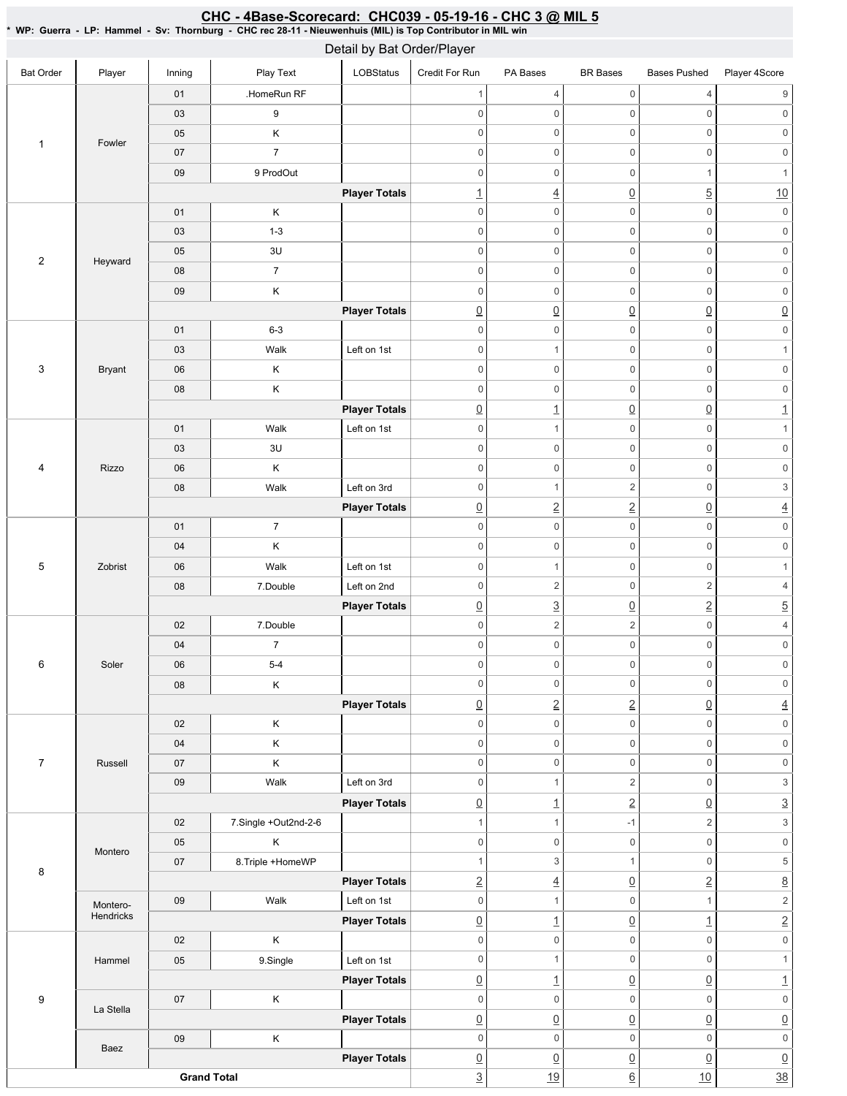### Bat Order | Player | Inning | PlayText | LOBStatus Credit For Run PA Bases BR Bases Bases Pushed Player 4Score 1 | Fowler 01 | HomeRun RF 03 9 05 K 07 7 09 9 ProdOut **Player Totals** 2 Heyward 01 K 03 1-3 05 3U 08 7 09 K **Player Totals** 3 Bryant 01 6-3 03 | Walk Left on 1st 06 K 08 | K **Player Totals** 4 Rizzo 01 | Walk Left on 1st 03 3U 06 K 08 | Walk Left on 3rd **Player Totals** 5 Zobrist 01 7 04 K 06 | Walk Left on 1st 08 7.Double Left on 2nd **Player Totals** 6 Soler 02 7.Double 04 7 06 5-4 08 K **Player Totals** 7 Russell 02 K 04 K 07 K 09 | Walk Left on 3rd **Player Totals** 8 Montero 02 7.Single +Out2nd-2-6 05 K 07 8.Triple +HomeWP **Player Totals** Montero-Hendricks 09 | Walk Left on 1st **Player Totals** 9 Hammel 02 K 05 9.Single Left on 1st **Player Totals** La Stella 07 K **Player Totals** Baez 09 K **Player Totals Grand Total** 1 4 0 4 9 0 0 0 0 0 0 0 0 0 0 0 0 0 0 0 0 0 0  $0 \qquad \qquad 0 \qquad \qquad 0 \qquad \qquad 1 \qquad \qquad 1$ 1  $\frac{1}{2}$   $\frac{10}{10}$ 0 0 0 0 0 0 0 0 0 0 0 0 0 0 0 0 0 0 0 0 0 0 0 0 0 0 0 0 0 0  $\overline{0}$   $\overline{0}$   $\overline{0}$   $\overline{0}$   $\overline{0}$   $\overline{0}$   $\overline{0}$ 0 0 0 0 0 0 0 0 0 1 0 0 0 0 0 0 0 0 0 0 0 0  $\begin{array}{ccc} \boxed{0} & \boxed{1} & \boxed{0} & \boxed{0} & \boxed{1} \end{array}$ 0 0 1 0 1 0 0 0 0 0 0 0 0 0 0 0 0 0 1 2 0 3 0 2 2 0 4 0 0 0 0 0 0 0 0 0 0 0 0 0 0 1 0 1  $0 \qquad \qquad 2 \qquad \qquad 0 \qquad \qquad 2 \qquad \qquad 4$  $\boxed{0}$   $\boxed{3}$   $\boxed{0}$   $\boxed{2}$   $\boxed{5}$  $0 \qquad \qquad 2 \qquad \qquad 2 \qquad \qquad 0 \qquad \qquad 4$ 0 0 0 0 0 0 0 0 0 0 0 0 0 0 0 0 0 0 0 2 2 0 4 0 0 0 0 0 0 0 0 0 0 0 0 0 0 0 0 0 0 0 1 2 0 3 0 1 2 0 3 1  $1$   $-1$   $2$   $3$ 0 0 0 0 0 0 1  $3$  1 0 5 2 4 0 2 8 0 1 0 1 2  $\boxed{0}$  1  $\boxed{0}$  1  $\boxed{1}$  2 0 0 0 0 0 0 0 0 0 1  $\Omega$  1 0 0  $\Omega$  1 0 0 0 0 0 0  $\overline{0}$   $\overline{0}$   $\overline{0}$   $\overline{0}$   $\overline{0}$   $\overline{0}$   $\overline{0}$ 0 0 0 0 0 0  $\overline{0}$   $\overline{0}$   $\overline{0}$   $\overline{0}$   $\overline{0}$   $\overline{0}$   $\overline{0}$ <u>3</u> 19 6 10 38 Detail by Bat Order/Player

## CHC - 4Base-Scorecard: CHC039 - 05-19-16 - CHC 3 @ MIL 5

\*WP:Guerra-LP:Hammel-Sv:Thornburg-CHCrec28-11-Nieuwenhuis(MIL)isTopContributorinMILwin